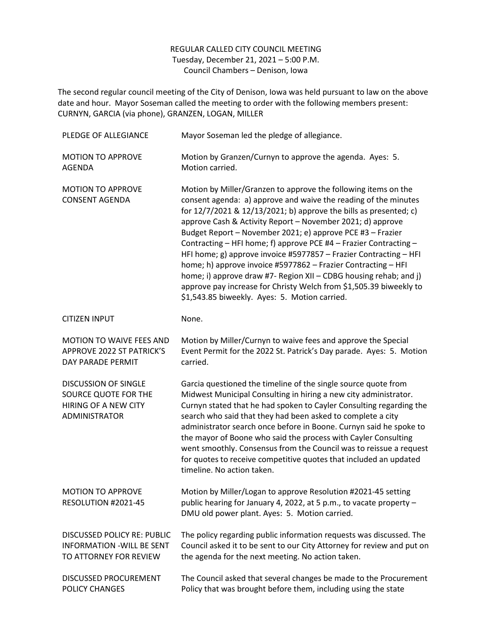## REGULAR CALLED CITY COUNCIL MEETING Tuesday, December 21, 2021 – 5:00 P.M. Council Chambers – Denison, Iowa

The second regular council meeting of the City of Denison, Iowa was held pursuant to law on the above date and hour. Mayor Soseman called the meeting to order with the following members present: CURNYN, GARCIA (via phone), GRANZEN, LOGAN, MILLER

| PLEDGE OF ALLEGIANCE                                                                              | Mayor Soseman led the pledge of allegiance.                                                                                                                                                                                                                                                                                                                                                                                                                                                                                                                                                                                                                                                                                               |
|---------------------------------------------------------------------------------------------------|-------------------------------------------------------------------------------------------------------------------------------------------------------------------------------------------------------------------------------------------------------------------------------------------------------------------------------------------------------------------------------------------------------------------------------------------------------------------------------------------------------------------------------------------------------------------------------------------------------------------------------------------------------------------------------------------------------------------------------------------|
| <b>MOTION TO APPROVE</b><br><b>AGENDA</b>                                                         | Motion by Granzen/Curnyn to approve the agenda. Ayes: 5.<br>Motion carried.                                                                                                                                                                                                                                                                                                                                                                                                                                                                                                                                                                                                                                                               |
| <b>MOTION TO APPROVE</b><br><b>CONSENT AGENDA</b>                                                 | Motion by Miller/Granzen to approve the following items on the<br>consent agenda: a) approve and waive the reading of the minutes<br>for 12/7/2021 & 12/13/2021; b) approve the bills as presented; c)<br>approve Cash & Activity Report - November 2021; d) approve<br>Budget Report - November 2021; e) approve PCE #3 - Frazier<br>Contracting - HFI home; f) approve PCE #4 - Frazier Contracting -<br>HFI home; g) approve invoice #5977857 - Frazier Contracting - HFI<br>home; h) approve invoice #5977862 - Frazier Contracting - HFI<br>home; i) approve draw #7- Region XII - CDBG housing rehab; and j)<br>approve pay increase for Christy Welch from \$1,505.39 biweekly to<br>\$1,543.85 biweekly. Ayes: 5. Motion carried. |
| <b>CITIZEN INPUT</b>                                                                              | None.                                                                                                                                                                                                                                                                                                                                                                                                                                                                                                                                                                                                                                                                                                                                     |
| <b>MOTION TO WAIVE FEES AND</b><br><b>APPROVE 2022 ST PATRICK'S</b><br>DAY PARADE PERMIT          | Motion by Miller/Curnyn to waive fees and approve the Special<br>Event Permit for the 2022 St. Patrick's Day parade. Ayes: 5. Motion<br>carried.                                                                                                                                                                                                                                                                                                                                                                                                                                                                                                                                                                                          |
| <b>DISCUSSION OF SINGLE</b><br>SOURCE QUOTE FOR THE<br>HIRING OF A NEW CITY<br>ADMINISTRATOR      | Garcia questioned the timeline of the single source quote from<br>Midwest Municipal Consulting in hiring a new city administrator.<br>Curnyn stated that he had spoken to Cayler Consulting regarding the<br>search who said that they had been asked to complete a city<br>administrator search once before in Boone. Curnyn said he spoke to<br>the mayor of Boone who said the process with Cayler Consulting<br>went smoothly. Consensus from the Council was to reissue a request<br>for quotes to receive competitive quotes that included an updated<br>timeline. No action taken.                                                                                                                                                 |
| <b>MOTION TO APPROVE</b><br>RESOLUTION #2021-45                                                   | Motion by Miller/Logan to approve Resolution #2021-45 setting<br>public hearing for January 4, 2022, at 5 p.m., to vacate property -<br>DMU old power plant. Ayes: 5. Motion carried.                                                                                                                                                                                                                                                                                                                                                                                                                                                                                                                                                     |
| <b>DISCUSSED POLICY RE: PUBLIC</b><br><b>INFORMATION - WILL BE SENT</b><br>TO ATTORNEY FOR REVIEW | The policy regarding public information requests was discussed. The<br>Council asked it to be sent to our City Attorney for review and put on<br>the agenda for the next meeting. No action taken.                                                                                                                                                                                                                                                                                                                                                                                                                                                                                                                                        |
| DISCUSSED PROCUREMENT<br>POLICY CHANGES                                                           | The Council asked that several changes be made to the Procurement<br>Policy that was brought before them, including using the state                                                                                                                                                                                                                                                                                                                                                                                                                                                                                                                                                                                                       |